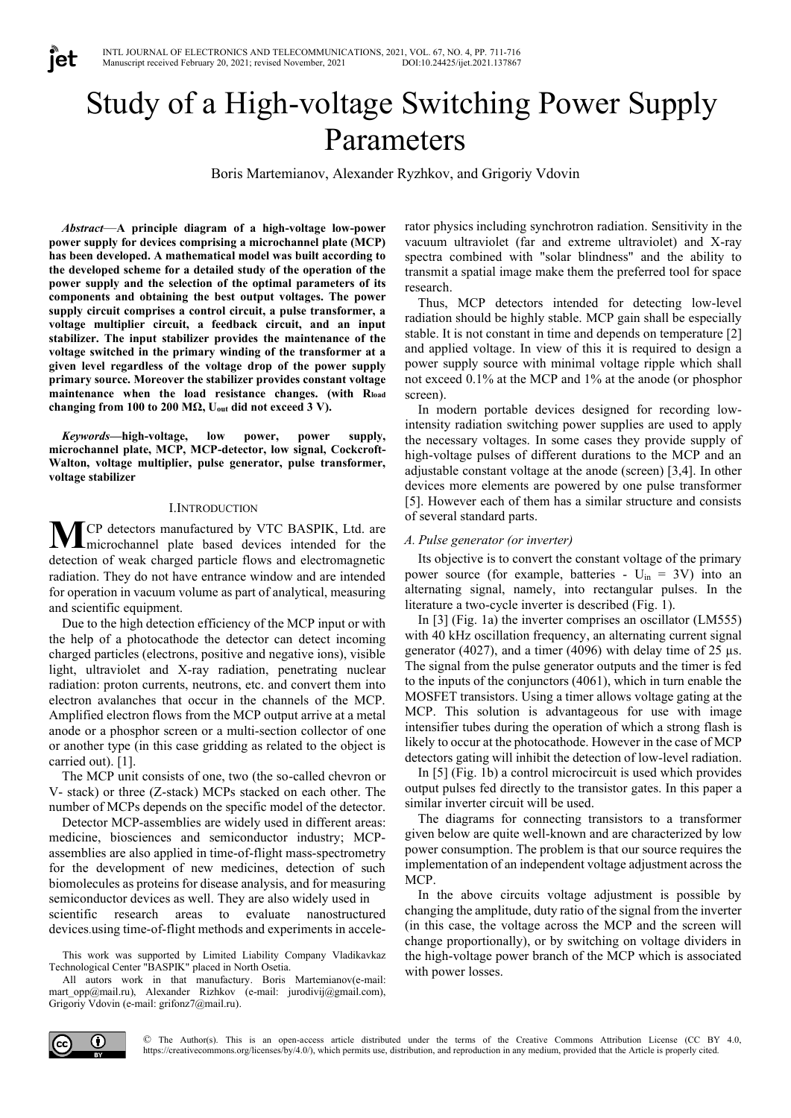# Study of a High-voltage Switching Power Supply Parameters

Boris Martemianov, Alexander Ryzhkov, and Grigoriy Vdovin

*Abstract*—**A principle diagram of a high-voltage low-power power supply for devices comprising a microchannel plate (MCP) has been developed. A mathematical model was built according to the developed scheme for a detailed study of the operation of the power supply and the selection of the optimal parameters of its components and obtaining the best output voltages. The power supply circuit comprises a control circuit, a pulse transformer, a voltage multiplier circuit, a feedback circuit, and an input stabilizer. The input stabilizer provides the maintenance of the voltage switched in the primary winding of the transformer at a given level regardless of the voltage drop of the power supply primary source. Moreover the stabilizer provides constant voltage maintenance when the load resistance changes. (with Rload changing from 100 to 200 MΩ, Uout did not exceed 3 V).**

jet

*Keywords***—high-voltage, low power, power supply, microchannel plate, MCP, MCP-detector, low signal, Cockcroft-Walton, voltage multiplier, pulse generator, pulse transformer, voltage stabilizer**

#### I.INTRODUCTION

CP detectors manufactured by VTC BASPIK, Ltd. are microchannel plate based devices intended for the detection of weak charged particle flows and electromagnetic radiation. They do not have entrance window and are intended for operation in vacuum volume as part of analytical, measuring and scientific equipment. **М**

Due to the high detection efficiency of the MCP input or with the help of a photocathode the detector can detect incoming charged particles (electrons, positive and negative ions), visible light, ultraviolet and X-ray radiation, penetrating nuclear radiation: proton currents, neutrons, etc. and convert them into electron avalanches that occur in the channels of the MCP. Amplified electron flows from the MCP output arrive at a metal anode or a phosphor screen or a multi-section collector of one or another type (in this case gridding as related to the object is carried out). [1].

The MCP unit consists of one, two (the so-called chevron or V- stack) or three (Z-stack) MCPs stacked on each other. The number of MCPs depends on the specific model of the detector.

Detector MCP-assemblies are widely used in different areas: medicine, biosciences and semiconductor industry; MCPassemblies are also applied in time-of-flight mass-spectrometry for the development of new medicines, detection of such biomolecules as proteins for disease analysis, and for measuring semiconductor devices as well. They are also widely used in scientific research areas to evaluate nanostructured devices.using time-of-flight methods and experiments in accele-

This work was supported by Limited Liability Company Vladikavkaz Technological Center "BASPIK" placed in North Osetia.

All autors work in that manufactury. Boris Martemianov(e-mail: mart\_opp@mail.ru), Alexander Rizhkov (e-mail: jurodivij@gmail.com), Grigoriy Vdovin (e-mail: grifonz7@mail.ru).

rator physics including synchrotron radiation. Sensitivity in the vacuum ultraviolet (far and extreme ultraviolet) and X-ray spectra combined with "solar blindness" and the ability to transmit a spatial image make them the preferred tool for space research.

Thus, MCP detectors intended for detecting low-level radiation should be highly stable. MCP gain shall be especially stable. It is not constant in time and depends on temperature [2] and applied voltage. In view of this it is required to design a power supply source with minimal voltage ripple which shall not exceed 0.1% at the MCP and 1% at the anode (or phosphor screen).

In modern portable devices designed for recording lowintensity radiation switching power supplies are used to apply the necessary voltages. In some cases they provide supply of high-voltage pulses of different durations to the MCP and an adjustable constant voltage at the anode (screen) [3,4]. In other devices more elements are powered by one pulse transformer [5]. However each of them has a similar structure and consists of several standard parts.

#### *A. Pulse generator (or inverter)*

Its objective is to convert the constant voltage of the primary power source (for example, batteries -  $U_{in} = 3V$ ) into an alternating signal, namely, into rectangular pulses. In the literature a two-cycle inverter is described (Fig. 1).

In [3] (Fig. 1a) the inverter comprises an oscillator (LM555) with 40 kHz oscillation frequency, an alternating current signal generator (4027), and a timer (4096) with delay time of  $25 \mu s$ . The signal from the pulse generator outputs and the timer is fed to the inputs of the conjunctors (4061), which in turn enable the MOSFET transistors. Using a timer allows voltage gating at the MCP. This solution is advantageous for use with image intensifier tubes during the operation of which a strong flash is likely to occur at the photocathode. However in the case of MCP detectors gating will inhibit the detection of low-level radiation.

In [5] (Fig. 1b) a control microcircuit is used which provides output pulses fed directly to the transistor gates. In this paper a similar inverter circuit will be used.

The diagrams for connecting transistors to a transformer given below are quite well-known and are characterized by low power consumption. The problem is that our source requires the implementation of an independent voltage adjustment across the MCP.

In the above circuits voltage adjustment is possible by changing the amplitude, duty ratio of the signal from the inverter (in this case, the voltage across the MCP and the screen will change proportionally), or by switching on voltage dividers in the high-voltage power branch of the MCP which is associated with power losses.

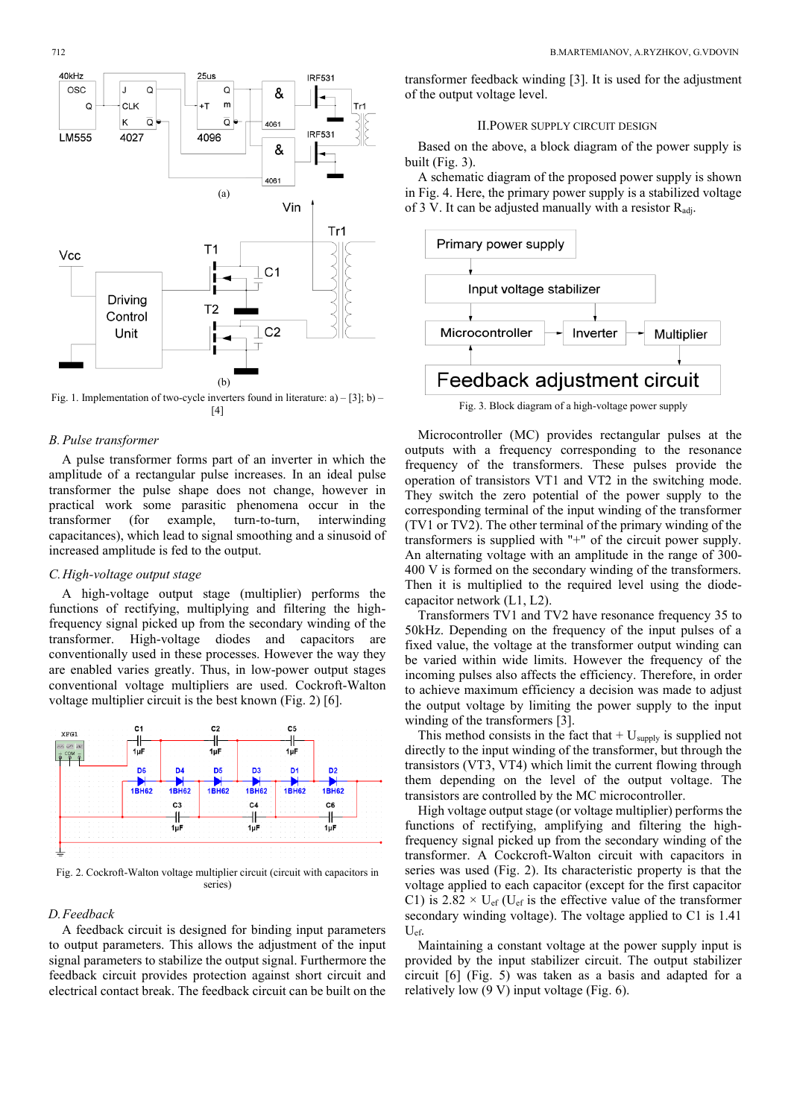

Fig. 1. Implementation of two-cycle inverters found in literature: а) – [3]; b) – [4]

### *B. Pulse transformer*

A pulse transformer forms part of an inverter in which the amplitude of a rectangular pulse increases. In an ideal pulse transformer the pulse shape does not change, however in practical work some parasitic phenomena occur in the transformer (for example, turn-to-turn, interwinding capacitances), which lead to signal smoothing and a sinusoid of increased amplitude is fed to the output.

## *C.High-voltage output stage*

A high-voltage output stage (multiplier) performs the functions of rectifying, multiplying and filtering the highfrequency signal picked up from the secondary winding of the transformer. High-voltage diodes and capacitors are conventionally used in these processes. However the way they are enabled varies greatly. Thus, in low-power output stages conventional voltage multipliers are used. Cockroft-Walton voltage multiplier circuit is the best known (Fig. 2) [6].



Fig. 2. Cockroft-Walton voltage multiplier circuit (circuit with capacitors in series)

#### *D.Feedback*

A feedback circuit is designed for binding input parameters to output parameters. This allows the adjustment of the input signal parameters to stabilize the output signal. Furthermore the feedback circuit provides protection against short circuit and electrical contact break. The feedback circuit can be built on the transformer feedback winding [3]. It is used for the adjustment of the output voltage level.

# II.POWER SUPPLY CIRCUIT DESIGN

Based on the above, a block diagram of the power supply is built (Fig. 3).

A schematic diagram of the proposed power supply is shown in Fig. 4. Here, the primary power supply is a stabilized voltage of 3 V. It can be adjusted manually with a resistor  $R_{\text{adi}}$ .



Fig. 3. Block diagram of a high-voltage power supply

Microcontroller (MC) provides rectangular pulses at the outputs with a frequency corresponding to the resonance frequency of the transformers. These pulses provide the operation of transistors VT1 and VT2 in the switching mode. They switch the zero potential of the power supply to the corresponding terminal of the input winding of the transformer (TV1 or TV2). The other terminal of the primary winding of the transformers is supplied with "+" of the circuit power supply. An alternating voltage with an amplitude in the range of 300- 400 V is formed on the secondary winding of the transformers. Then it is multiplied to the required level using the diodecapacitor network (L1, L2).

Transformers TV1 and ТV2 have resonance frequency 35 to 50kHz. Depending on the frequency of the input pulses of a fixed value, the voltage at the transformer output winding can be varied within wide limits. However the frequency of the incoming pulses also affects the efficiency. Therefore, in order to achieve maximum efficiency a decision was made to adjust the output voltage by limiting the power supply to the input winding of the transformers [3].

This method consists in the fact that  $+ U_{\text{supply}}$  is supplied not directly to the input winding of the transformer, but through the transistors (VT3, VT4) which limit the current flowing through them depending on the level of the output voltage. The transistors are controlled by the MC microcontroller.

High voltage output stage (or voltage multiplier) performs the functions of rectifying, amplifying and filtering the highfrequency signal picked up from the secondary winding of the transformer. A Cockcroft-Walton circuit with capacitors in series was used (Fig. 2). Its characteristic property is that the voltage applied to each capacitor (except for the first capacitor C1) is  $2.82 \times U_{\text{ef}}$  (U<sub>ef</sub> is the effective value of the transformer secondary winding voltage). The voltage applied to C1 is 1.41 Uef.

Maintaining a constant voltage at the power supply input is provided by the input stabilizer circuit. The output stabilizer circuit [6] (Fig. 5) was taken as a basis and adapted for a relatively low (9 V) input voltage (Fig. 6).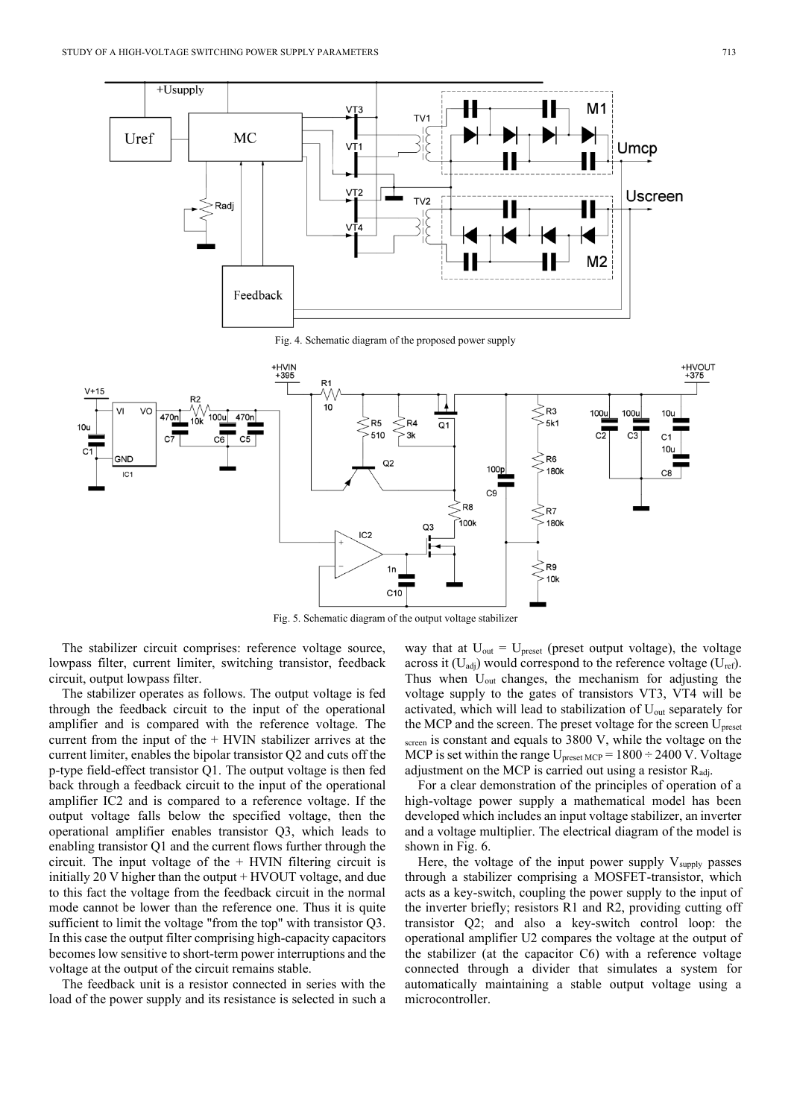

Fig. 4. Schematic diagram of the proposed power supply



Fig. 5. Schematic diagram of the output voltage stabilizer

The stabilizer circuit comprises: reference voltage source, lowpass filter, current limiter, switching transistor, feedback circuit, output lowpass filter.

The stabilizer operates as follows. The output voltage is fed through the feedback circuit to the input of the operational amplifier and is compared with the reference voltage. The current from the input of the  $+$  HVIN stabilizer arrives at the current limiter, enables the bipolar transistor Q2 and cuts off the p-type field-effect transistor Q1. The output voltage is then fed back through a feedback circuit to the input of the operational amplifier IC2 and is compared to a reference voltage. If the output voltage falls below the specified voltage, then the operational amplifier enables transistor Q3, which leads to enabling transistor Q1 and the current flows further through the circuit. The input voltage of the + HVIN filtering circuit is initially 20 V higher than the output + HVOUT voltage, and due to this fact the voltage from the feedback circuit in the normal mode cannot be lower than the reference one. Thus it is quite sufficient to limit the voltage "from the top" with transistor Q3. In this case the output filter comprising high-capacity capacitors becomes low sensitive to short-term power interruptions and the voltage at the output of the circuit remains stable.

The feedback unit is a resistor connected in series with the load of the power supply and its resistance is selected in such a

way that at  $U_{out} = U_{present}$  (preset output voltage), the voltage across it  $(U_{\text{adj}})$  would correspond to the reference voltage  $(U_{\text{ref}})$ . Thus when Uout changes, the mechanism for adjusting the voltage supply to the gates of transistors VT3, VT4 will be activated, which will lead to stabilization of U<sub>out</sub> separately for the MCP and the screen. The preset voltage for the screen U<sub>preset</sub> screen is constant and equals to 3800 V, while the voltage on the MCP is set within the range  $U_{\text{present MCP}} = 1800 \div 2400 \text{ V}$ . Voltage adjustment on the MCP is carried out using a resistor  $R_{\text{adj}}$ .

For a clear demonstration of the principles of operation of a high-voltage power supply a mathematical model has been developed which includes an input voltage stabilizer, an inverter and a voltage multiplier. The electrical diagram of the model is shown in Fig. 6.

Here, the voltage of the input power supply  $V_{\text{supply}}$  passes through a stabilizer comprising a MOSFET-transistor, which acts as a key-switch, coupling the power supply to the input of the inverter briefly; resistors R1 and R2, providing cutting off transistor Q2; and also a key-switch control loop: the operational amplifier U2 compares the voltage at the output of the stabilizer (at the capacitor C6) with a reference voltage connected through a divider that simulates a system for automatically maintaining a stable output voltage using a microcontroller.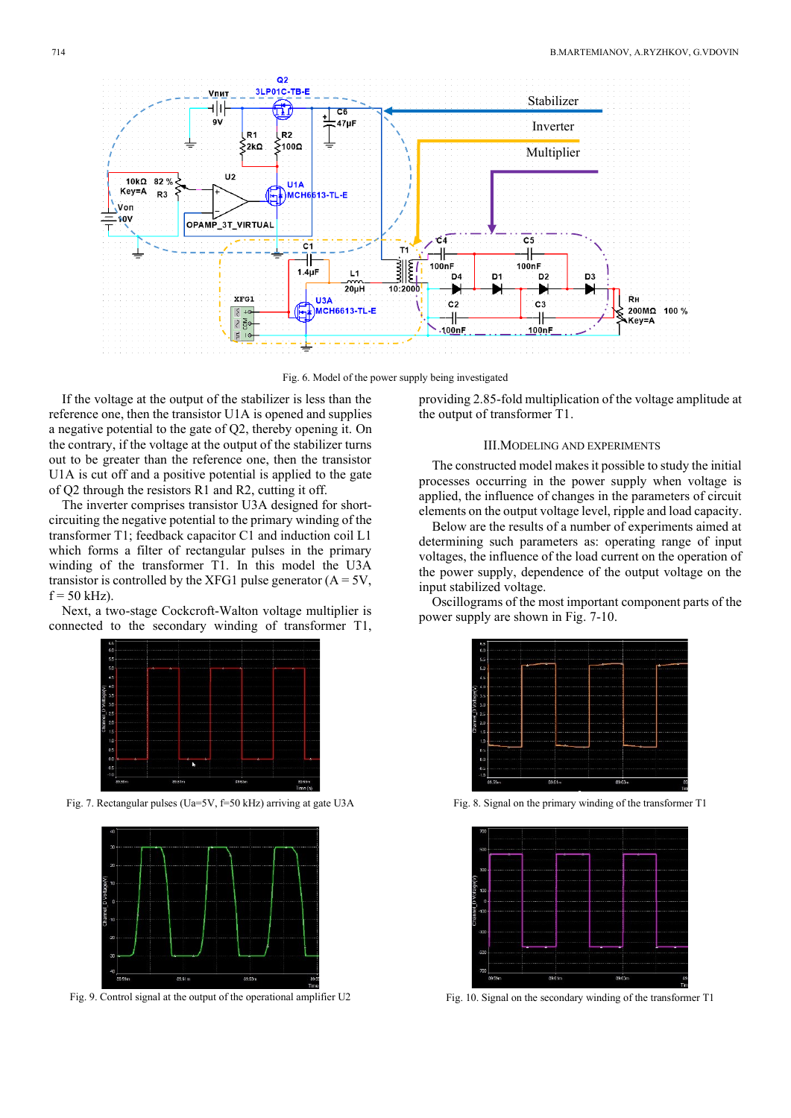

Fig. 6. Model of the power supply being investigated

If the voltage at the output of the stabilizer is less than the reference one, then the transistor U1A is opened and supplies a negative potential to the gate of Q2, thereby opening it. On the contrary, if the voltage at the output of the stabilizer turns out to be greater than the reference one, then the transistor U1A is cut off and a positive potential is applied to the gate of Q2 through the resistors R1 and R2, cutting it off.

The inverter comprises transistor U3A designed for shortcircuiting the negative potential to the primary winding of the transformer T1; feedback capacitor C1 and induction coil L1 which forms a filter of rectangular pulses in the primary winding of the transformer T1. In this model the U3A transistor is controlled by the XFG1 pulse generator  $(A = 5V,$  $f = 50$  kHz).

Next, a two-stage Cockcroft-Walton voltage multiplier is connected to the secondary winding of transformer T1,



Fig. 7. Rectangular pulses (Uа=5V, f=50 kHz) arriving at gate U3A



Fig. 9. Control signal at the output of the operational amplifier U2

providing 2.85-fold multiplication of the voltage amplitude at the output of transformer T1.

#### III.MODELING AND EXPERIMENTS

The constructed model makes it possible to study the initial processes occurring in the power supply when voltage is applied, the influence of changes in the parameters of circuit elements on the output voltage level, ripple and load capacity.

Below are the results of a number of experiments aimed at determining such parameters as: operating range of input voltages, the influence of the load current on the operation of the power supply, dependence of the output voltage on the input stabilized voltage.

Oscillograms of the most important component parts of the power supply are shown in Fig. 7-10.



Fig. 8. Signal on the primary winding of the transformer T1



Fig. 10. Signal on the secondary winding of the transformer T1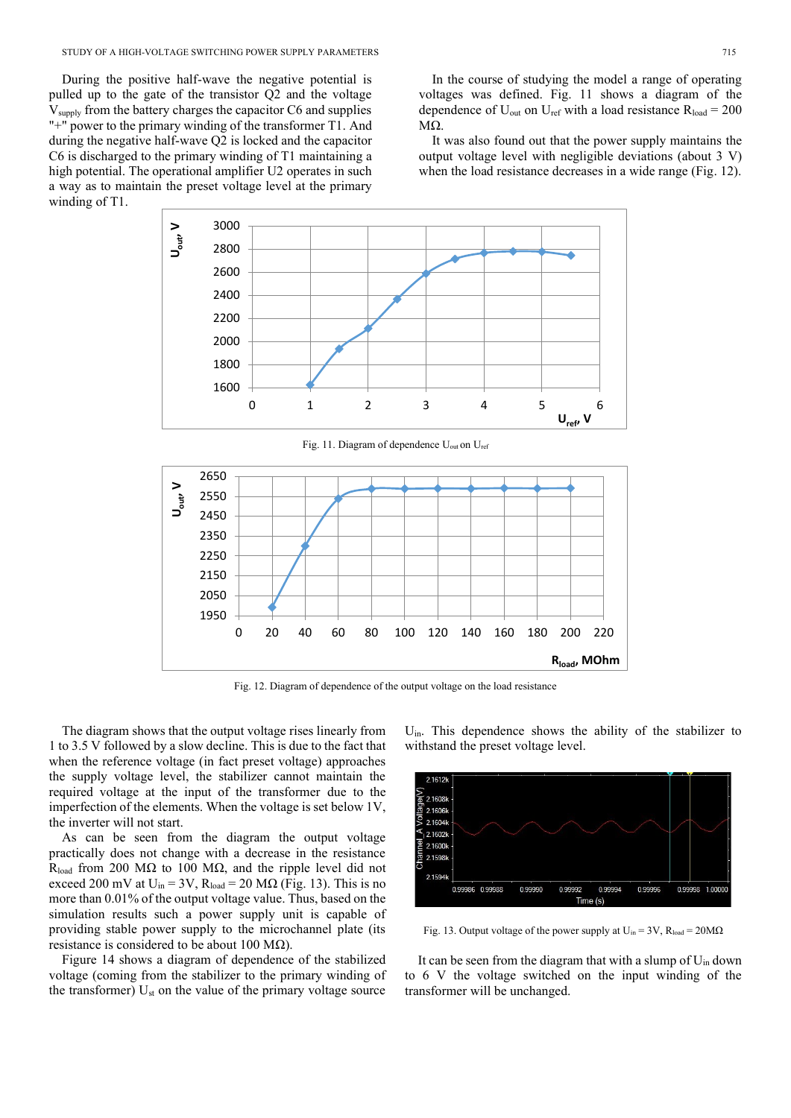During the positive half-wave the negative potential is pulled up to the gate of the transistor Q2 and the voltage Vsupply from the battery charges the capacitor C6 and supplies "+" power to the primary winding of the transformer T1. And during the negative half-wave Q2 is locked and the capacitor C6 is discharged to the primary winding of T1 maintaining a high potential. The operational amplifier U2 operates in such a way as to maintain the preset voltage level at the primary winding of T1.

In the course of studying the model a range of operating voltages was defined. Fig. 11 shows a diagram of the dependence of  $U_{\text{out}}$  on  $U_{\text{ref}}$  with a load resistance  $R_{\text{load}} = 200$ MΩ.

It was also found out that the power supply maintains the output voltage level with negligible deviations (about 3 V) when the load resistance decreases in a wide range (Fig. 12).



Fig. 11. Diagram of dependence U<sub>out</sub> on U<sub>ref</sub>



Fig. 12. Diagram of dependence of the output voltage on the load resistance

The diagram shows that the output voltage rises linearly from 1 to 3.5 V followed by a slow decline. This is due to the fact that when the reference voltage (in fact preset voltage) approaches the supply voltage level, the stabilizer cannot maintain the required voltage at the input of the transformer due to the imperfection of the elements. When the voltage is set below 1V, the inverter will not start.

As can be seen from the diagram the output voltage practically does not change with a decrease in the resistance R<sub>load</sub> from 200 MΩ to 100 MΩ, and the ripple level did not exceed 200 mV at  $U_{in} = 3V$ ,  $R_{load} = 20 M\Omega$  (Fig. 13). This is no more than 0.01% of the output voltage value. Thus, based on the simulation results such a power supply unit is capable of providing stable power supply to the microchannel plate (its resistance is considered to be about 100 M $\Omega$ ).

Figure 14 shows a diagram of dependence of the stabilized voltage (coming from the stabilizer to the primary winding of the transformer)  $U_{st}$  on the value of the primary voltage source Uin. This dependence shows the ability of the stabilizer to withstand the preset voltage level.



Fig. 13. Output voltage of the power supply at  $U_{in} = 3V$ ,  $R_{load} = 20M\Omega$ 

It can be seen from the diagram that with a slump of  $U_{in}$  down to 6 V the voltage switched on the input winding of the transformer will be unchanged.